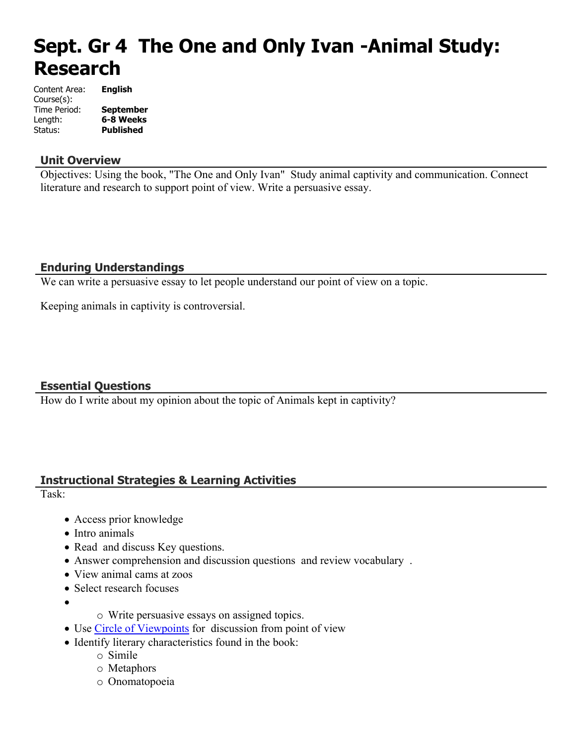# **Sept. Gr 4 The One and Only Ivan -Animal Study: Research**

| Content Area: | <b>English</b>   |
|---------------|------------------|
| Course(s):    |                  |
| Time Period:  | <b>September</b> |
| Length:       | 6-8 Weeks        |
| Status:       | <b>Published</b> |

#### **Unit Overview**

Objectives: Using the book, "The One and Only Ivan" Study animal captivity and communication. Connect literature and research to support point of view. Write a persuasive essay.

## **Enduring Understandings**

We can write a persuasive essay to let people understand our point of view on a topic.

Keeping animals in captivity is controversial.

## **Essential Questions**

How do I write about my opinion about the topic of Animals kept in captivity?

## **Instructional Strategies & Learning Activities**

Task:

- Access prior knowledge
- Intro animals
- Read and discuss Key questions.
- Answer comprehension and discussion questions and review vocabulary .
- View animal cams at zoos
- Select research focuses
- $\bullet$
- o Write persuasive essays on assigned topics.
- Use [Circle of Viewpoints](onenote:Reading.one#Circle%20of%20Viewpoints§ion-id=%7B3EC25194-118B-4707-87BC-66D215AFBD3C%7D&page-id=%7B29298766-B91E-434D-8614-9F81EA1EF8BB%7D&base-path=https://d.docs.live.net/326efe25eac24e15/Lesson%20Plans%202015-2016/2015-2016%20Lesson%20Plans) for discussion from point of view
- Identify literary characteristics found in the book:
	- o Simile
	- o Metaphors
	- o Onomatopoeia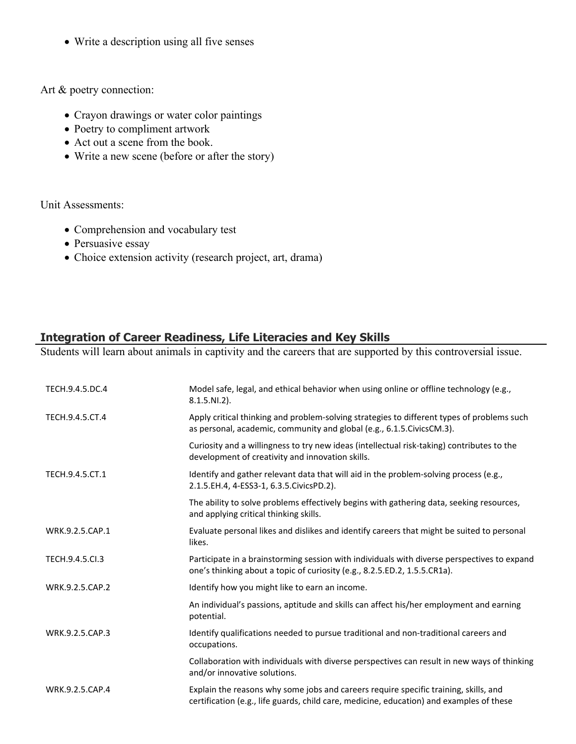Write a description using all five senses

Art & poetry connection:

- Crayon drawings or water color paintings
- Poetry to compliment artwork
- Act out a scene from the book.
- Write a new scene (before or after the story)

Unit Assessments:

- Comprehension and vocabulary test
- Persuasive essay
- Choice extension activity (research project, art, drama)

## **Integration of Career Readiness, Life Literacies and Key Skills**

Students will learn about animals in captivity and the careers that are supported by this controversial issue.

| TECH.9.4.5.DC.4 | Model safe, legal, and ethical behavior when using online or offline technology (e.g.,<br>$8.1.5.NI.2$ ).                                                                        |
|-----------------|----------------------------------------------------------------------------------------------------------------------------------------------------------------------------------|
| TECH.9.4.5.CT.4 | Apply critical thinking and problem-solving strategies to different types of problems such<br>as personal, academic, community and global (e.g., 6.1.5.CivicsCM.3).              |
|                 | Curiosity and a willingness to try new ideas (intellectual risk-taking) contributes to the<br>development of creativity and innovation skills.                                   |
| TECH.9.4.5.CT.1 | Identify and gather relevant data that will aid in the problem-solving process (e.g.,<br>2.1.5.EH.4, 4-ESS3-1, 6.3.5.CivicsPD.2).                                                |
|                 | The ability to solve problems effectively begins with gathering data, seeking resources,<br>and applying critical thinking skills.                                               |
| WRK.9.2.5.CAP.1 | Evaluate personal likes and dislikes and identify careers that might be suited to personal<br>likes.                                                                             |
| TECH.9.4.5.Cl.3 | Participate in a brainstorming session with individuals with diverse perspectives to expand<br>one's thinking about a topic of curiosity (e.g., 8.2.5.ED.2, 1.5.5.CR1a).         |
| WRK.9.2.5.CAP.2 | Identify how you might like to earn an income.                                                                                                                                   |
|                 | An individual's passions, aptitude and skills can affect his/her employment and earning<br>potential.                                                                            |
| WRK.9.2.5.CAP.3 | Identify qualifications needed to pursue traditional and non-traditional careers and<br>occupations.                                                                             |
|                 | Collaboration with individuals with diverse perspectives can result in new ways of thinking<br>and/or innovative solutions.                                                      |
| WRK.9.2.5.CAP.4 | Explain the reasons why some jobs and careers require specific training, skills, and<br>certification (e.g., life guards, child care, medicine, education) and examples of these |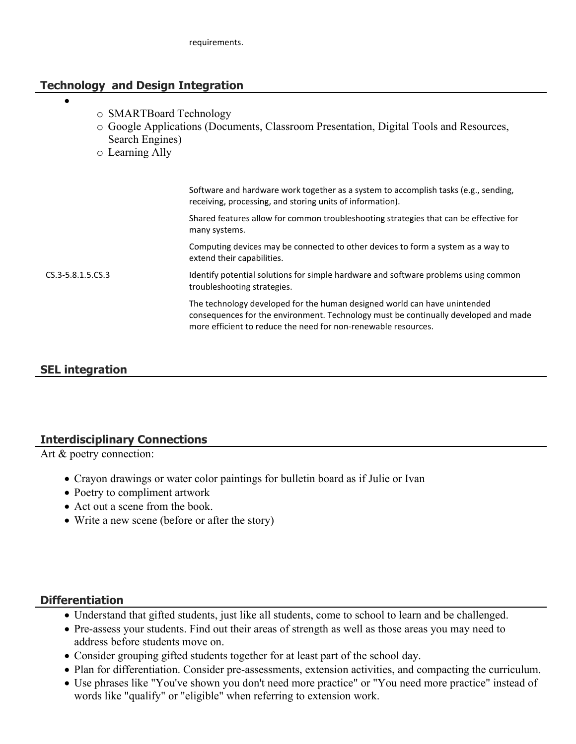## **Technology and Design Integration**

- $\bullet$
- o SMARTBoard Technology
- o Google Applications (Documents, Classroom Presentation, Digital Tools and Resources, Search Engines)
- o Learning Ally

|                       | Software and hardware work together as a system to accomplish tasks (e.g., sending,<br>receiving, processing, and storing units of information).                                                                                   |
|-----------------------|------------------------------------------------------------------------------------------------------------------------------------------------------------------------------------------------------------------------------------|
|                       | Shared features allow for common troubleshooting strategies that can be effective for<br>many systems.                                                                                                                             |
|                       | Computing devices may be connected to other devices to form a system as a way to<br>extend their capabilities.                                                                                                                     |
| $CS.3 - 5.8.1.5.CS.3$ | Identify potential solutions for simple hardware and software problems using common<br>troubleshooting strategies.                                                                                                                 |
|                       | The technology developed for the human designed world can have unintended<br>consequences for the environment. Technology must be continually developed and made<br>more efficient to reduce the need for non-renewable resources. |
|                       |                                                                                                                                                                                                                                    |

# **SEL integration**

## **Interdisciplinary Connections**

Art & poetry connection:

- Crayon drawings or water color paintings for bulletin board as if Julie or Ivan
- Poetry to compliment artwork
- Act out a scene from the book.
- Write a new scene (before or after the story)

## **Differentiation**

- Understand that gifted students, just like all students, come to school to learn and be challenged.
- Pre-assess your students. Find out their areas of strength as well as those areas you may need to address before students move on.
- Consider grouping gifted students together for at least part of the school day.
- Plan for differentiation. Consider pre-assessments, extension activities, and compacting the curriculum.
- Use phrases like "You've shown you don't need more practice" or "You need more practice" instead of words like "qualify" or "eligible" when referring to extension work.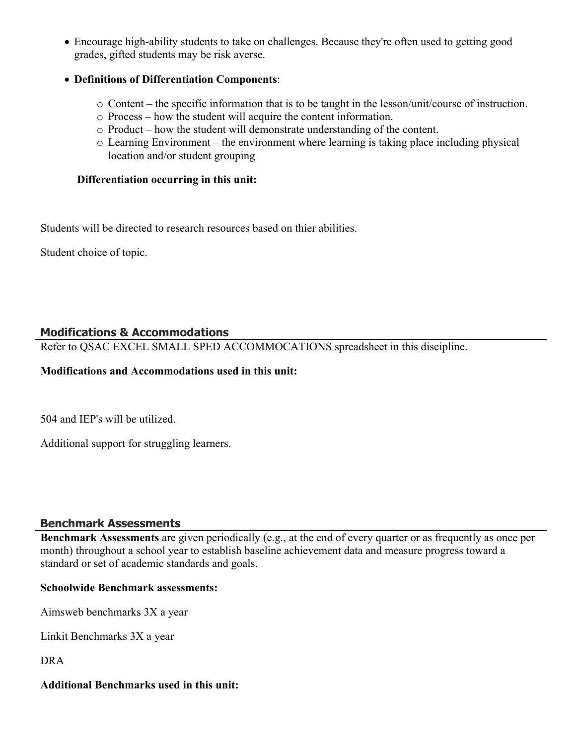Encourage high-ability students to take on challenges. Because they're often used to getting good grades, gifted students may be risk averse.

#### **Definitions of Differentiation Components**:

- o Content the specific information that is to be taught in the lesson/unit/course of instruction.
- o Process how the student will acquire the content information.
- o Product how the student will demonstrate understanding of the content.
- o Learning Environment the environment where learning is taking place including physical location and/or student grouping

#### **Differentiation occurring in this unit:**

Students will be directed to research resources based on thier abilities.

Student choice of topic.

## **Modifications & Accommodations**

Refer to QSAC EXCEL SMALL SPED ACCOMMOCATIONS spreadsheet in this discipline.

#### **Modifications and Accommodations used in this unit:**

504 and IEP's will be utilized.

Additional support for struggling learners.

## **Benchmark Assessments**

**Benchmark Assessments** are given periodically (e.g., at the end of every quarter or as frequently as once per month) throughout a school year to establish baseline achievement data and measure progress toward a standard or set of academic standards and goals.

#### **Schoolwide Benchmark assessments:**

Aimsweb benchmarks 3X a year

Linkit Benchmarks 3X a year

DRA

#### **Additional Benchmarks used in this unit:**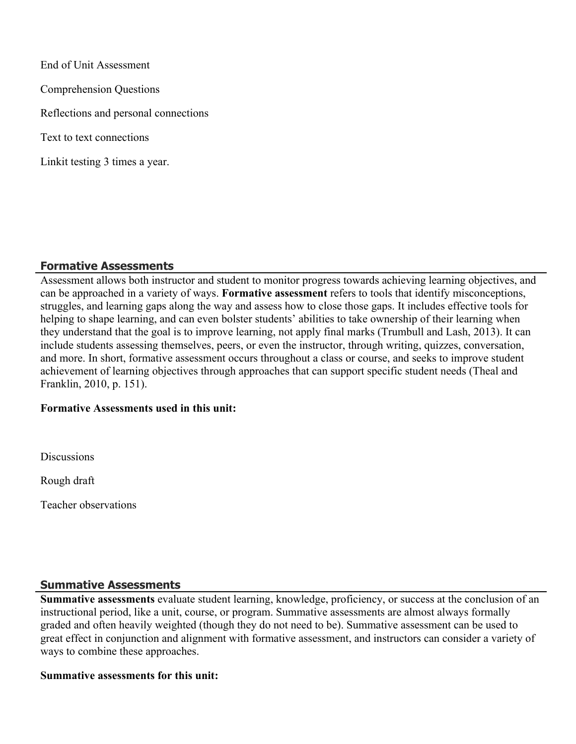End of Unit Assessment Comprehension Questions Reflections and personal connections Text to text connections Linkit testing 3 times a year.

#### **Formative Assessments**

Assessment allows both instructor and student to monitor progress towards achieving learning objectives, and can be approached in a variety of ways. **Formative assessment** refers to tools that identify misconceptions, struggles, and learning gaps along the way and assess how to close those gaps. It includes effective tools for helping to shape learning, and can even bolster students' abilities to take ownership of their learning when they understand that the goal is to improve learning, not apply final marks (Trumbull and Lash, 2013). It can include students assessing themselves, peers, or even the instructor, through writing, quizzes, conversation, and more. In short, formative assessment occurs throughout a class or course, and seeks to improve student achievement of learning objectives through approaches that can support specific student needs (Theal and Franklin, 2010, p. 151).

#### **Formative Assessments used in this unit:**

**Discussions** 

Rough draft

Teacher observations

## **Summative Assessments**

**Summative assessments** evaluate student learning, knowledge, proficiency, or success at the conclusion of an instructional period, like a unit, course, or program. Summative assessments are almost always formally graded and often heavily weighted (though they do not need to be). Summative assessment can be used to great effect in conjunction and alignment with formative assessment, and instructors can consider a variety of ways to combine these approaches.

#### **Summative assessments for this unit:**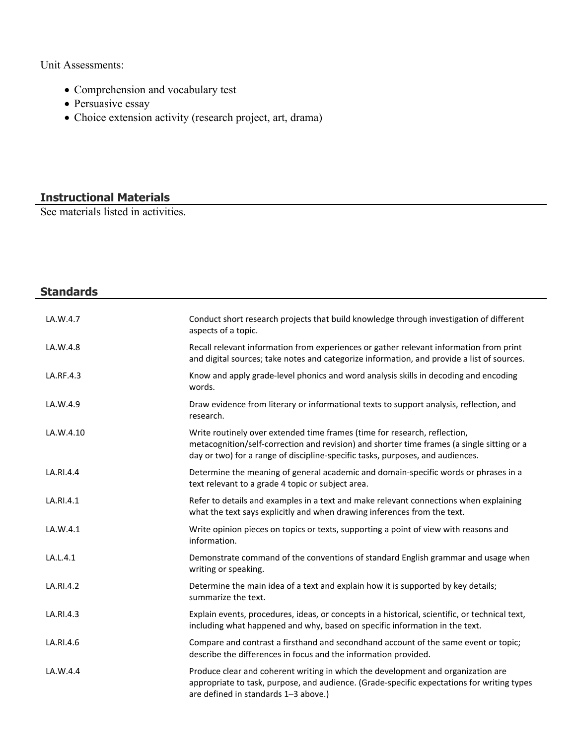Unit Assessments:

- Comprehension and vocabulary test
- Persuasive essay
- Choice extension activity (research project, art, drama)

# **Instructional Materials**

See materials listed in activities.

| <b>Standards</b> |                                                                                                                                                                                                                                                           |
|------------------|-----------------------------------------------------------------------------------------------------------------------------------------------------------------------------------------------------------------------------------------------------------|
|                  |                                                                                                                                                                                                                                                           |
| LA.W.4.7         | Conduct short research projects that build knowledge through investigation of different<br>aspects of a topic.                                                                                                                                            |
| LA.W.4.8         | Recall relevant information from experiences or gather relevant information from print<br>and digital sources; take notes and categorize information, and provide a list of sources.                                                                      |
| LA.RF.4.3        | Know and apply grade-level phonics and word analysis skills in decoding and encoding<br>words.                                                                                                                                                            |
| LA.W.4.9         | Draw evidence from literary or informational texts to support analysis, reflection, and<br>research.                                                                                                                                                      |
| LA.W.4.10        | Write routinely over extended time frames (time for research, reflection,<br>metacognition/self-correction and revision) and shorter time frames (a single sitting or a<br>day or two) for a range of discipline-specific tasks, purposes, and audiences. |
| LA.RI.4.4        | Determine the meaning of general academic and domain-specific words or phrases in a<br>text relevant to a grade 4 topic or subject area.                                                                                                                  |
| LA.RI.4.1        | Refer to details and examples in a text and make relevant connections when explaining<br>what the text says explicitly and when drawing inferences from the text.                                                                                         |
| LA.W.4.1         | Write opinion pieces on topics or texts, supporting a point of view with reasons and<br>information.                                                                                                                                                      |
| LA.L.4.1         | Demonstrate command of the conventions of standard English grammar and usage when<br>writing or speaking.                                                                                                                                                 |
| LA.RI.4.2        | Determine the main idea of a text and explain how it is supported by key details;<br>summarize the text.                                                                                                                                                  |
| LA.RI.4.3        | Explain events, procedures, ideas, or concepts in a historical, scientific, or technical text,<br>including what happened and why, based on specific information in the text.                                                                             |
| LA.RI.4.6        | Compare and contrast a firsthand and secondhand account of the same event or topic;<br>describe the differences in focus and the information provided.                                                                                                    |
| LA.W.4.4         | Produce clear and coherent writing in which the development and organization are<br>appropriate to task, purpose, and audience. (Grade-specific expectations for writing types<br>are defined in standards 1-3 above.)                                    |